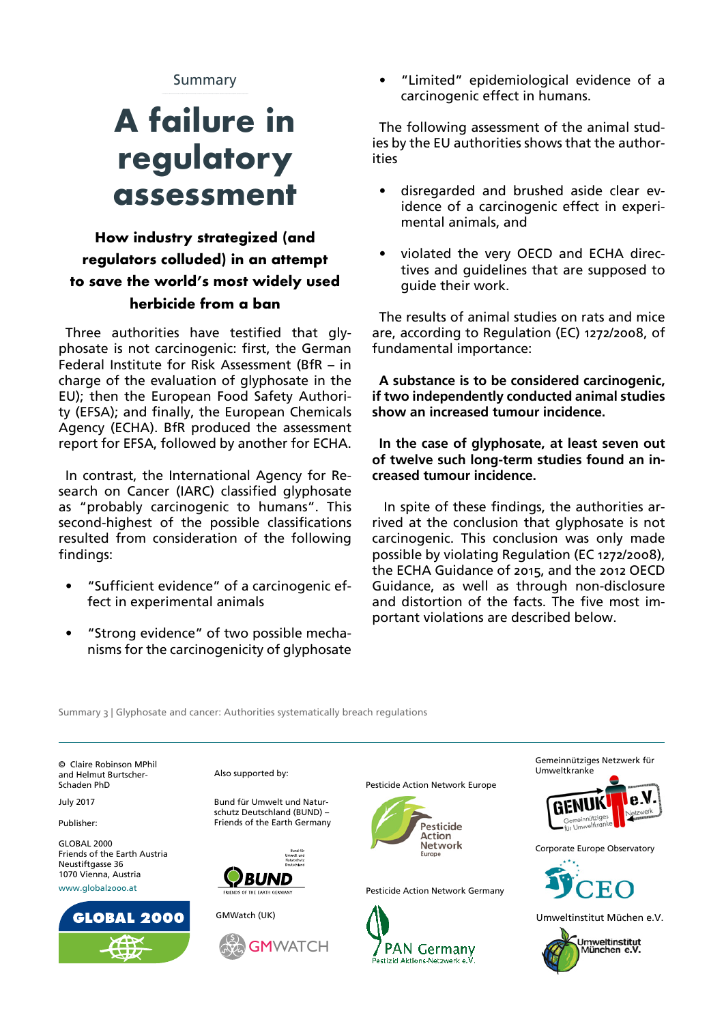Summary

# **A failure in regulatory assessment**

## **How industry strategized (and regulators colluded) in an attempt to save the world's most widely used herbicide from a ban**

Three authorities have testified that glyphosate is not carcinogenic: first, the German Federal Institute for Risk Assessment (BfR – in charge of the evaluation of glyphosate in the EU); then the European Food Safety Authority (EFSA); and finally, the European Chemicals Agency (ECHA). BfR produced the assessment report for EFSA, followed by another for ECHA.

In contrast, the International Agency for Research on Cancer (IARC) classified glyphosate as "probably carcinogenic to humans". This second-highest of the possible classifications resulted from consideration of the following findings:

- "Sufficient evidence" of a carcinogenic effect in experimental animals
- "Strong evidence" of two possible mechanisms for the carcinogenicity of glyphosate

• "Limited" epidemiological evidence of a carcinogenic effect in humans.

The following assessment of the animal studies by the EU authorities shows that the authorities

- disregarded and brushed aside clear evidence of a carcinogenic effect in experimental animals, and
- violated the very OECD and ECHA directives and guidelines that are supposed to quide their work.

The results of animal studies on rats and mice are, according to Regulation (EC) 1272/2008, of fundamental importance:

**A substance is to be considered carcinogenic, if two independently conducted animal studies show an increased tumour incidence.**

**In the case of glyphosate, at least seven out of twelve such long-term studies found an increased tumour incidence.**

 In spite of these findings, the authorities arrived at the conclusion that glyphosate is not carcinogenic. This conclusion was only made possible by violating Regulation (EC 1272/2008), the ECHA Guidance of 2015, and the 2012 OECD Guidance, as well as through non-disclosure and distortion of the facts. The five most important violations are described below.

Summary 3 | Glyphosate and cancer: Authorities systematically breach regulations

© Claire Robinson MPhil and Helmut Burtscher-Schaden PhD

**July 2017** 

Publisher:

GLOBAL 2000 Friends of the Earth Austria Neustiftgasse 36 1070 Vienna, Austria [www.global2000.at](http://www.global2000.at)



Also supported by:

Bund für Umwelt und Naturschutz Deutschland (BUND) – Friends of the Earth Germany



GMWatch (UK)



Pesticide Action Network Europe



Pesticide Action Network Germany







Corporate Europe Observatory



Umweltinstitut Müchen e.V.

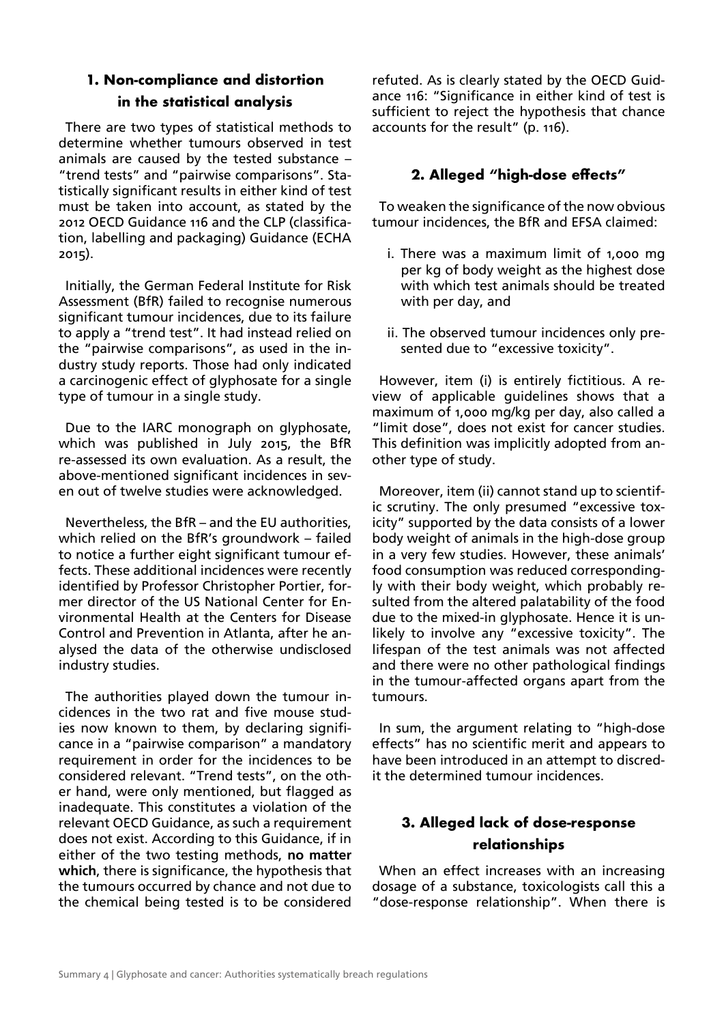#### **1. Non-compliance and distortion in the statistical analysis**

There are two types of statistical methods to determine whether tumours observed in test animals are caused by the tested substance – "trend tests" and "pairwise comparisons". Statistically significant results in either kind of test must be taken into account, as stated by the 2012 OECD Guidance 116 and the CLP (classification, labelling and packaging) Guidance (ECHA 2015).

Initially, the German Federal Institute for Risk Assessment (BfR) failed to recognise numerous significant tumour incidences, due to its failure to apply a "trend test". It had instead relied on the "pairwise comparisons", as used in the industry study reports. Those had only indicated a carcinogenic effect of glyphosate for a single type of tumour in a single study.

Due to the IARC monograph on glyphosate, which was published in July 2015, the BfR re-assessed its own evaluation. As a result, the above-mentioned significant incidences in seven out of twelve studies were acknowledged.

Nevertheless, the BfR – and the EU authorities, which relied on the BfR's groundwork – failed to notice a further eight significant tumour effects. These additional incidences were recently identified by Professor Christopher Portier, former director of the US National Center for Environmental Health at the Centers for Disease Control and Prevention in Atlanta, after he analysed the data of the otherwise undisclosed industry studies.

The authorities played down the tumour incidences in the two rat and five mouse studies now known to them, by declaring significance in a "pairwise comparison" a mandatory requirement in order for the incidences to be considered relevant. "Trend tests", on the other hand, were only mentioned, but flagged as inadequate. This constitutes a violation of the relevant OECD Guidance, as such a requirement does not exist. According to this Guidance, if in either of the two testing methods, **no matter which**, there is significance, the hypothesis that the tumours occurred by chance and not due to the chemical being tested is to be considered

refuted. As is clearly stated by the OECD Guidance 116: "Significance in either kind of test is sufficient to reject the hypothesis that chance accounts for the result" (p. 116).

#### **2. Alleged "high-dose effects"**

To weaken the significance of the now obvious tumour incidences, the BfR and EFSA claimed:

- i. There was a maximum limit of 1,000 mg per kg of body weight as the highest dose with which test animals should be treated with per day, and
- ii. The observed tumour incidences only presented due to "excessive toxicity".

However, item (i) is entirely fictitious. A review of applicable guidelines shows that a maximum of 1,000 mg/kg per day, also called a "limit dose", does not exist for cancer studies. This definition was implicitly adopted from another type of study.

Moreover, item (ii) cannot stand up to scientific scrutiny. The only presumed "excessive toxicity" supported by the data consists of a lower body weight of animals in the high-dose group in a very few studies. However, these animals' food consumption was reduced correspondingly with their body weight, which probably resulted from the altered palatability of the food due to the mixed-in glyphosate. Hence it is unlikely to involve any "excessive toxicity". The lifespan of the test animals was not affected and there were no other pathological findings in the tumour-affected organs apart from the tumours.

In sum, the argument relating to "high-dose effects" has no scientific merit and appears to have been introduced in an attempt to discredit the determined tumour incidences.

### **3. Alleged lack of dose-response relationships**

When an effect increases with an increasing dosage of a substance, toxicologists call this a "dose-response relationship". When there is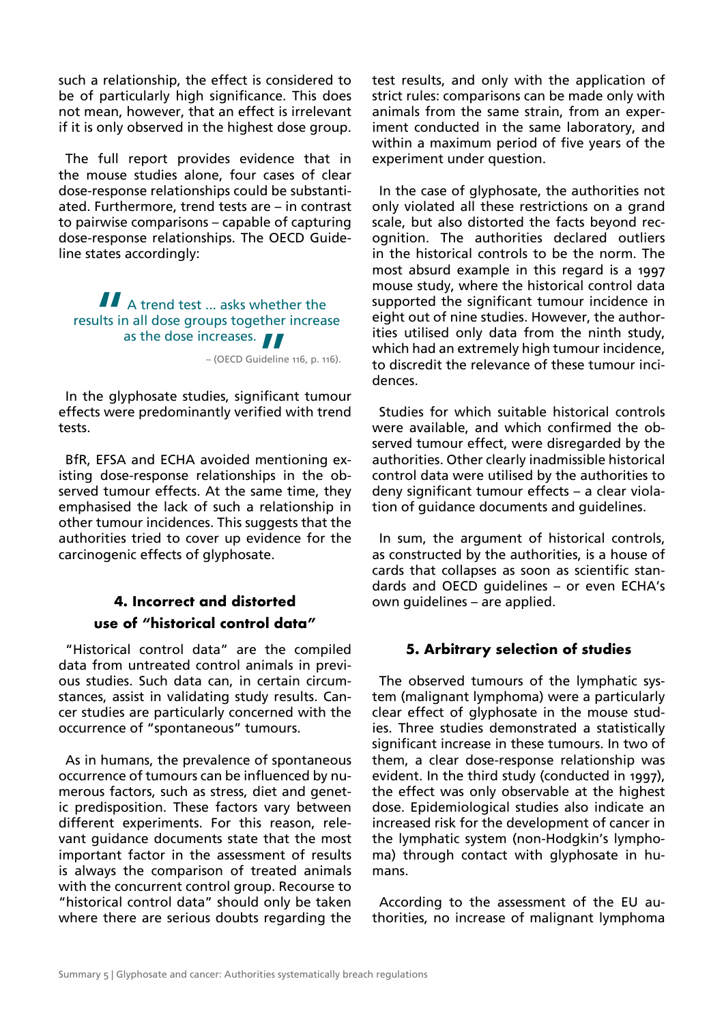such a relationship, the effect is considered to be of particularly high significance. This does not mean, however, that an effect is irrelevant if it is only observed in the highest dose group.

The full report provides evidence that in the mouse studies alone, four cases of clear dose-response relationships could be substantiated. Furthermore, trend tests are – in contrast to pairwise comparisons – capable of capturing dose-response relationships. The OECD Guideline states accordingly:

 $\blacksquare$  A trend test ... asks whether the results in all dose groups together increase as the dose increases.<br>
- (OECD Guideline

– (OECD Guideline 116, p. 116).

In the glyphosate studies, significant tumour effects were predominantly verified with trend tests.

BfR, EFSA and ECHA avoided mentioning existing dose-response relationships in the observed tumour effects. At the same time, they emphasised the lack of such a relationship in other tumour incidences. This suggests that the authorities tried to cover up evidence for the carcinogenic effects of glyphosate.

## **4. Incorrect and distorted use of "historical control data"**

"Historical control data" are the compiled data from untreated control animals in previous studies. Such data can, in certain circumstances, assist in validating study results. Cancer studies are particularly concerned with the occurrence of "spontaneous" tumours.

As in humans, the prevalence of spontaneous occurrence of tumours can be influenced by numerous factors, such as stress, diet and genetic predisposition. These factors vary between different experiments. For this reason, relevant guidance documents state that the most important factor in the assessment of results is always the comparison of treated animals with the concurrent control group. Recourse to "historical control data" should only be taken where there are serious doubts regarding the test results, and only with the application of strict rules: comparisons can be made only with animals from the same strain, from an experiment conducted in the same laboratory, and within a maximum period of five years of the experiment under question.

In the case of glyphosate, the authorities not only violated all these restrictions on a grand scale, but also distorted the facts beyond recognition. The authorities declared outliers in the historical controls to be the norm. The most absurd example in this regard is a 1997 mouse study, where the historical control data supported the significant tumour incidence in eight out of nine studies. However, the authorities utilised only data from the ninth study, which had an extremely high tumour incidence, to discredit the relevance of these tumour incidences.

Studies for which suitable historical controls were available, and which confirmed the observed tumour effect, were disregarded by the authorities. Other clearly inadmissible historical control data were utilised by the authorities to deny significant tumour effects – a clear violation of guidance documents and guidelines.

In sum, the argument of historical controls, as constructed by the authorities, is a house of cards that collapses as soon as scientific standards and OECD guidelines – or even ECHA's own guidelines – are applied.

#### **5. Arbitrary selection of studies**

The observed tumours of the lymphatic system (malignant lymphoma) were a particularly clear effect of glyphosate in the mouse studies. Three studies demonstrated a statistically significant increase in these tumours. In two of them, a clear dose-response relationship was evident. In the third study (conducted in 1997), the effect was only observable at the highest dose. Epidemiological studies also indicate an increased risk for the development of cancer in the lymphatic system (non-Hodgkin's lymphoma) through contact with glyphosate in humans.

According to the assessment of the EU authorities, no increase of malignant lymphoma